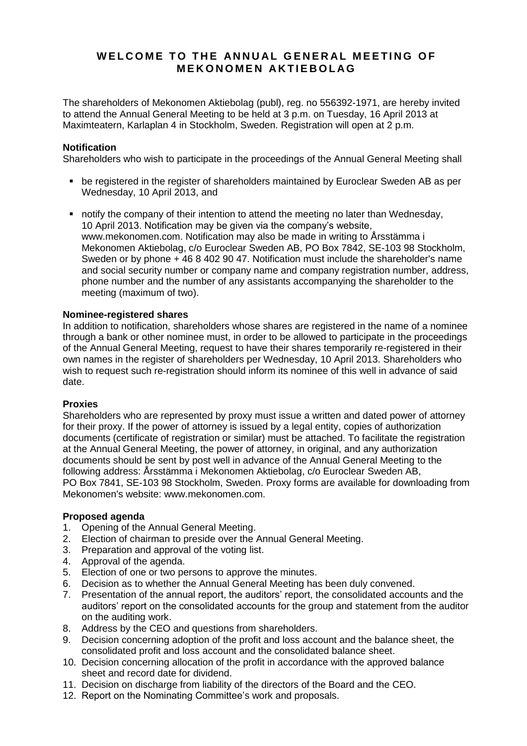# WELCOME TO THE ANNUAL GENERAL MEETING OF **M E K O N O M E N A K T I E B O L AG**

The shareholders of Mekonomen Aktiebolag (publ), reg. no 556392-1971, are hereby invited to attend the Annual General Meeting to be held at 3 p.m. on Tuesday, 16 April 2013 at Maximteatern, Karlaplan 4 in Stockholm, Sweden. Registration will open at 2 p.m.

## **Notification**

Shareholders who wish to participate in the proceedings of the Annual General Meeting shall

- be registered in the register of shareholders maintained by Euroclear Sweden AB as per Wednesday, 10 April 2013, and
- notify the company of their intention to attend the meeting no later than Wednesday, 10 April 2013. Notification may be given via the company's website, www.mekonomen.com. Notification may also be made in writing to Årsstämma i Mekonomen Aktiebolag, c/o Euroclear Sweden AB, PO Box 7842, SE-103 98 Stockholm, Sweden or by phone  $+$  46 8 402 90 47. Notification must include the shareholder's name and social security number or company name and company registration number, address, phone number and the number of any assistants accompanying the shareholder to the meeting (maximum of two).

# **Nominee-registered shares**

In addition to notification, shareholders whose shares are registered in the name of a nominee through a bank or other nominee must, in order to be allowed to participate in the proceedings of the Annual General Meeting, request to have their shares temporarily re-registered in their own names in the register of shareholders per Wednesday, 10 April 2013. Shareholders who wish to request such re-registration should inform its nominee of this well in advance of said date.

## **Proxies**

Shareholders who are represented by proxy must issue a written and dated power of attorney for their proxy. If the power of attorney is issued by a legal entity, copies of authorization documents (certificate of registration or similar) must be attached. To facilitate the registration at the Annual General Meeting, the power of attorney, in original, and any authorization documents should be sent by post well in advance of the Annual General Meeting to the following address: Årsstämma i Mekonomen Aktiebolag, c/o Euroclear Sweden AB, PO Box 7841, SE-103 98 Stockholm, Sweden. Proxy forms are available for downloading from Mekonomen's website: www.mekonomen.com.

## **Proposed agenda**

- 1. Opening of the Annual General Meeting.
- 2. Election of chairman to preside over the Annual General Meeting.
- 3. Preparation and approval of the voting list.
- 4. Approval of the agenda.
- 5. Election of one or two persons to approve the minutes.
- 6. Decision as to whether the Annual General Meeting has been duly convened.
- 7. Presentation of the annual report, the auditors' report, the consolidated accounts and the auditors' report on the consolidated accounts for the group and statement from the auditor on the auditing work.
- 8. Address by the CEO and questions from shareholders.
- 9. Decision concerning adoption of the profit and loss account and the balance sheet, the consolidated profit and loss account and the consolidated balance sheet.
- 10. Decision concerning allocation of the profit in accordance with the approved balance sheet and record date for dividend.
- 11. Decision on discharge from liability of the directors of the Board and the CEO.
- 12. Report on the Nominating Committee's work and proposals.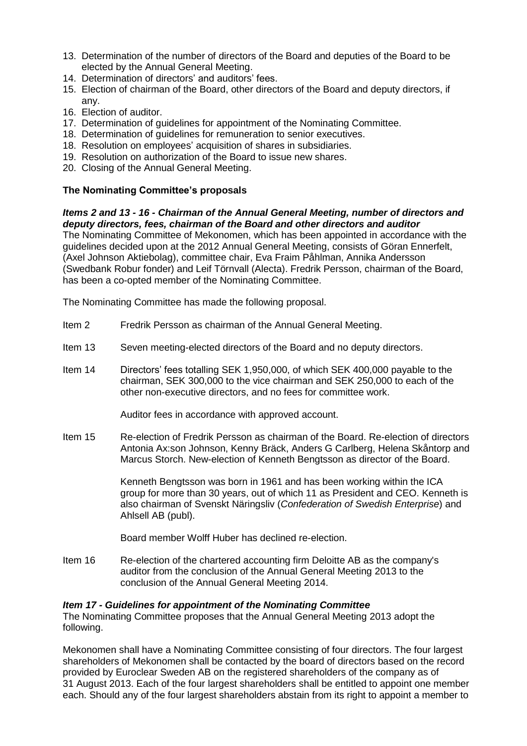- 13. Determination of the number of directors of the Board and deputies of the Board to be elected by the Annual General Meeting.
- 14. Determination of directors' and auditors' fees.
- 15. Election of chairman of the Board, other directors of the Board and deputy directors, if any.
- 16. Election of auditor.
- 17. Determination of guidelines for appointment of the Nominating Committee.
- 18. Determination of guidelines for remuneration to senior executives.
- 18. Resolution on employees' acquisition of shares in subsidiaries.
- 19. Resolution on authorization of the Board to issue new shares.
- 20. Closing of the Annual General Meeting.

# **The Nominating Committee's proposals**

*Items 2 and 13 - 16 - Chairman of the Annual General Meeting, number of directors and deputy directors, fees, chairman of the Board and other directors and auditor*

The Nominating Committee of Mekonomen, which has been appointed in accordance with the guidelines decided upon at the 2012 Annual General Meeting, consists of Göran Ennerfelt, (Axel Johnson Aktiebolag), committee chair, Eva Fraim Påhlman, Annika Andersson (Swedbank Robur fonder) and Leif Törnvall (Alecta). Fredrik Persson, chairman of the Board, has been a co-opted member of the Nominating Committee.

The Nominating Committee has made the following proposal.

- Item 2 Fredrik Persson as chairman of the Annual General Meeting.
- Item 13 Seven meeting-elected directors of the Board and no deputy directors.
- Item 14 Directors' fees totalling SEK 1,950,000, of which SEK 400,000 payable to the chairman, SEK 300,000 to the vice chairman and SEK 250,000 to each of the other non-executive directors, and no fees for committee work.

Auditor fees in accordance with approved account.

Item 15 Re-election of Fredrik Persson as chairman of the Board. Re-election of directors Antonia Ax:son Johnson, Kenny Bräck, Anders G Carlberg, Helena Skåntorp and Marcus Storch. New-election of Kenneth Bengtsson as director of the Board.

> Kenneth Bengtsson was born in 1961 and has been working within the ICA group for more than 30 years, out of which 11 as President and CEO. Kenneth is also chairman of Svenskt Näringsliv (*Confederation of Swedish Enterprise*) and Ahlsell AB (publ).

Board member Wolff Huber has declined re-election.

Item 16 Re-election of the chartered accounting firm Deloitte AB as the company's auditor from the conclusion of the Annual General Meeting 2013 to the conclusion of the Annual General Meeting 2014.

## *Item 17 - Guidelines for appointment of the Nominating Committee*

The Nominating Committee proposes that the Annual General Meeting 2013 adopt the following.

Mekonomen shall have a Nominating Committee consisting of four directors. The four largest shareholders of Mekonomen shall be contacted by the board of directors based on the record provided by Euroclear Sweden AB on the registered shareholders of the company as of 31 August 2013. Each of the four largest shareholders shall be entitled to appoint one member each. Should any of the four largest shareholders abstain from its right to appoint a member to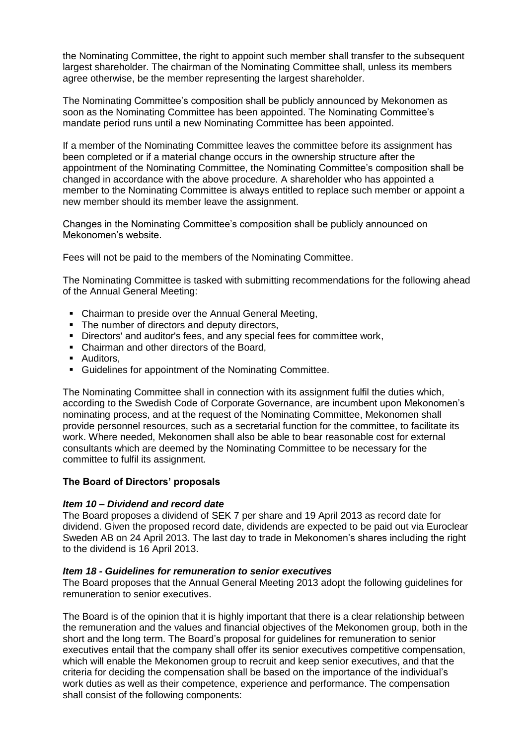the Nominating Committee, the right to appoint such member shall transfer to the subsequent largest shareholder. The chairman of the Nominating Committee shall, unless its members agree otherwise, be the member representing the largest shareholder.

The Nominating Committee's composition shall be publicly announced by Mekonomen as soon as the Nominating Committee has been appointed. The Nominating Committee's mandate period runs until a new Nominating Committee has been appointed.

If a member of the Nominating Committee leaves the committee before its assignment has been completed or if a material change occurs in the ownership structure after the appointment of the Nominating Committee, the Nominating Committee's composition shall be changed in accordance with the above procedure. A shareholder who has appointed a member to the Nominating Committee is always entitled to replace such member or appoint a new member should its member leave the assignment.

Changes in the Nominating Committee's composition shall be publicly announced on Mekonomen's website.

Fees will not be paid to the members of the Nominating Committee.

The Nominating Committee is tasked with submitting recommendations for the following ahead of the Annual General Meeting:

- Chairman to preside over the Annual General Meeting,
- The number of directors and deputy directors,
- Directors' and auditor's fees, and any special fees for committee work,
- Chairman and other directors of the Board,
- **Auditors,**
- Guidelines for appointment of the Nominating Committee.

The Nominating Committee shall in connection with its assignment fulfil the duties which, according to the Swedish Code of Corporate Governance, are incumbent upon Mekonomen's nominating process, and at the request of the Nominating Committee, Mekonomen shall provide personnel resources, such as a secretarial function for the committee, to facilitate its work. Where needed, Mekonomen shall also be able to bear reasonable cost for external consultants which are deemed by the Nominating Committee to be necessary for the committee to fulfil its assignment.

#### **The Board of Directors' proposals**

#### *Item 10 – Dividend and record date*

The Board proposes a dividend of SEK 7 per share and 19 April 2013 as record date for dividend. Given the proposed record date, dividends are expected to be paid out via Euroclear Sweden AB on 24 April 2013. The last day to trade in Mekonomen's shares including the right to the dividend is 16 April 2013.

#### *Item 18 - Guidelines for remuneration to senior executives*

The Board proposes that the Annual General Meeting 2013 adopt the following guidelines for remuneration to senior executives.

The Board is of the opinion that it is highly important that there is a clear relationship between the remuneration and the values and financial objectives of the Mekonomen group, both in the short and the long term. The Board's proposal for guidelines for remuneration to senior executives entail that the company shall offer its senior executives competitive compensation, which will enable the Mekonomen group to recruit and keep senior executives, and that the criteria for deciding the compensation shall be based on the importance of the individual's work duties as well as their competence, experience and performance. The compensation shall consist of the following components: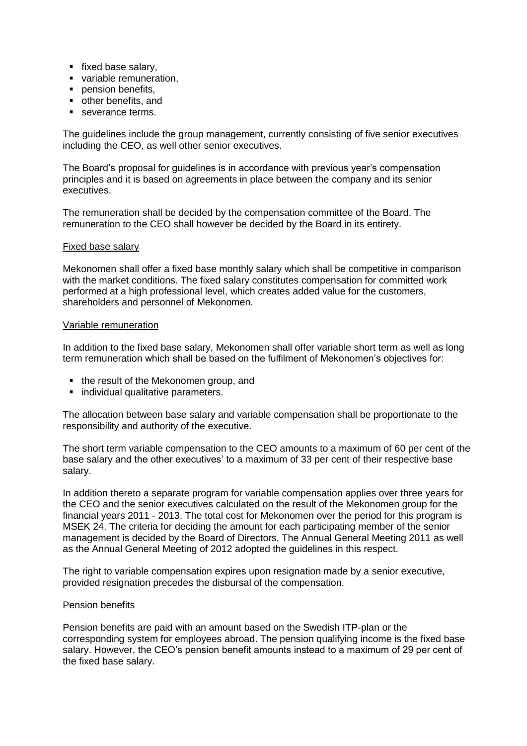- **fixed base salary.**
- variable remuneration,
- **pension benefits,**
- other benefits, and
- severance terms.

The guidelines include the group management, currently consisting of five senior executives including the CEO, as well other senior executives.

The Board's proposal for guidelines is in accordance with previous year's compensation principles and it is based on agreements in place between the company and its senior executives.

The remuneration shall be decided by the compensation committee of the Board. The remuneration to the CEO shall however be decided by the Board in its entirety.

#### Fixed base salary

Mekonomen shall offer a fixed base monthly salary which shall be competitive in comparison with the market conditions. The fixed salary constitutes compensation for committed work performed at a high professional level, which creates added value for the customers, shareholders and personnel of Mekonomen.

#### Variable remuneration

In addition to the fixed base salary, Mekonomen shall offer variable short term as well as long term remuneration which shall be based on the fulfilment of Mekonomen's objectives for:

- the result of the Mekonomen group, and
- **·** individual qualitative parameters.

The allocation between base salary and variable compensation shall be proportionate to the responsibility and authority of the executive.

The short term variable compensation to the CEO amounts to a maximum of 60 per cent of the base salary and the other executives' to a maximum of 33 per cent of their respective base salary.

In addition thereto a separate program for variable compensation applies over three years for the CEO and the senior executives calculated on the result of the Mekonomen group for the financial years 2011 - 2013. The total cost for Mekonomen over the period for this program is MSEK 24. The criteria for deciding the amount for each participating member of the senior management is decided by the Board of Directors. The Annual General Meeting 2011 as well as the Annual General Meeting of 2012 adopted the guidelines in this respect.

The right to variable compensation expires upon resignation made by a senior executive, provided resignation precedes the disbursal of the compensation.

#### Pension benefits

Pension benefits are paid with an amount based on the Swedish ITP-plan or the corresponding system for employees abroad. The pension qualifying income is the fixed base salary. However, the CEO's pension benefit amounts instead to a maximum of 29 per cent of the fixed base salary.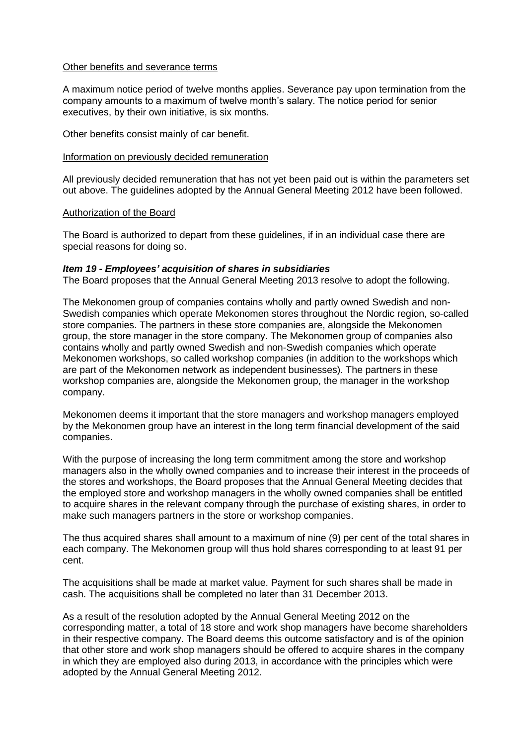#### Other benefits and severance terms

A maximum notice period of twelve months applies. Severance pay upon termination from the company amounts to a maximum of twelve month's salary. The notice period for senior executives, by their own initiative, is six months.

Other benefits consist mainly of car benefit.

#### Information on previously decided remuneration

All previously decided remuneration that has not yet been paid out is within the parameters set out above. The guidelines adopted by the Annual General Meeting 2012 have been followed.

#### Authorization of the Board

The Board is authorized to depart from these guidelines, if in an individual case there are special reasons for doing so.

#### *Item 19 - Employees' acquisition of shares in subsidiaries*

The Board proposes that the Annual General Meeting 2013 resolve to adopt the following.

The Mekonomen group of companies contains wholly and partly owned Swedish and non-Swedish companies which operate Mekonomen stores throughout the Nordic region, so-called store companies. The partners in these store companies are, alongside the Mekonomen group, the store manager in the store company. The Mekonomen group of companies also contains wholly and partly owned Swedish and non-Swedish companies which operate Mekonomen workshops, so called workshop companies (in addition to the workshops which are part of the Mekonomen network as independent businesses). The partners in these workshop companies are, alongside the Mekonomen group, the manager in the workshop company.

Mekonomen deems it important that the store managers and workshop managers employed by the Mekonomen group have an interest in the long term financial development of the said companies.

With the purpose of increasing the long term commitment among the store and workshop managers also in the wholly owned companies and to increase their interest in the proceeds of the stores and workshops, the Board proposes that the Annual General Meeting decides that the employed store and workshop managers in the wholly owned companies shall be entitled to acquire shares in the relevant company through the purchase of existing shares, in order to make such managers partners in the store or workshop companies.

The thus acquired shares shall amount to a maximum of nine (9) per cent of the total shares in each company. The Mekonomen group will thus hold shares corresponding to at least 91 per cent.

The acquisitions shall be made at market value. Payment for such shares shall be made in cash. The acquisitions shall be completed no later than 31 December 2013.

As a result of the resolution adopted by the Annual General Meeting 2012 on the corresponding matter, a total of 18 store and work shop managers have become shareholders in their respective company. The Board deems this outcome satisfactory and is of the opinion that other store and work shop managers should be offered to acquire shares in the company in which they are employed also during 2013, in accordance with the principles which were adopted by the Annual General Meeting 2012.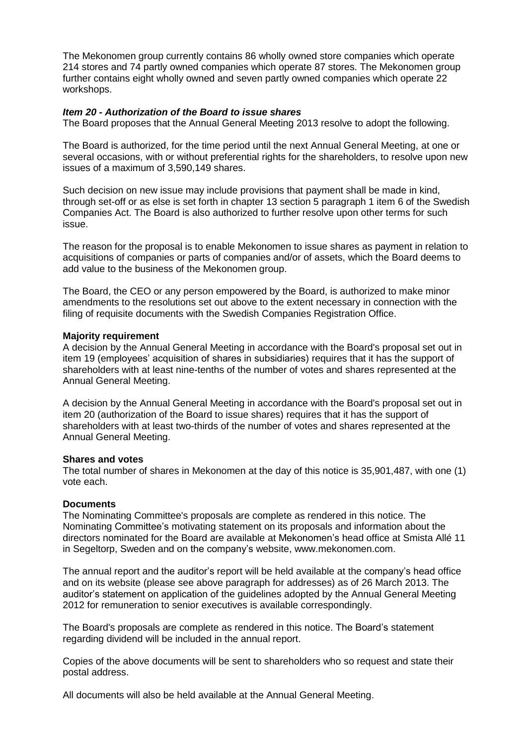The Mekonomen group currently contains 86 wholly owned store companies which operate 214 stores and 74 partly owned companies which operate 87 stores. The Mekonomen group further contains eight wholly owned and seven partly owned companies which operate 22 workshops.

#### *Item 20 - Authorization of the Board to issue shares*

The Board proposes that the Annual General Meeting 2013 resolve to adopt the following.

The Board is authorized, for the time period until the next Annual General Meeting, at one or several occasions, with or without preferential rights for the shareholders, to resolve upon new issues of a maximum of 3,590,149 shares.

Such decision on new issue may include provisions that payment shall be made in kind, through set-off or as else is set forth in chapter 13 section 5 paragraph 1 item 6 of the Swedish Companies Act. The Board is also authorized to further resolve upon other terms for such issue.

The reason for the proposal is to enable Mekonomen to issue shares as payment in relation to acquisitions of companies or parts of companies and/or of assets, which the Board deems to add value to the business of the Mekonomen group.

The Board, the CEO or any person empowered by the Board, is authorized to make minor amendments to the resolutions set out above to the extent necessary in connection with the filing of requisite documents with the Swedish Companies Registration Office.

#### **Majority requirement**

A decision by the Annual General Meeting in accordance with the Board's proposal set out in item 19 (employees' acquisition of shares in subsidiaries) requires that it has the support of shareholders with at least nine-tenths of the number of votes and shares represented at the Annual General Meeting.

A decision by the Annual General Meeting in accordance with the Board's proposal set out in item 20 (authorization of the Board to issue shares) requires that it has the support of shareholders with at least two-thirds of the number of votes and shares represented at the Annual General Meeting.

#### **Shares and votes**

The total number of shares in Mekonomen at the day of this notice is 35,901,487, with one (1) vote each.

#### **Documents**

The Nominating Committee's proposals are complete as rendered in this notice. The Nominating Committee's motivating statement on its proposals and information about the directors nominated for the Board are available at Mekonomen's head office at Smista Allé 11 in Segeltorp, Sweden and on the company's website, www.mekonomen.com.

The annual report and the auditor's report will be held available at the company's head office and on its website (please see above paragraph for addresses) as of 26 March 2013. The auditor's statement on application of the guidelines adopted by the Annual General Meeting 2012 for remuneration to senior executives is available correspondingly.

The Board's proposals are complete as rendered in this notice. The Board's statement regarding dividend will be included in the annual report.

Copies of the above documents will be sent to shareholders who so request and state their postal address.

All documents will also be held available at the Annual General Meeting.